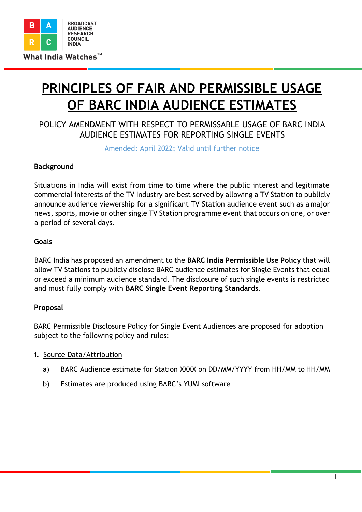

# **PRINCIPLES OF FAIR AND PERMISSIBLE USAGE OF BARC INDIA AUDIENCE ESTIMATES**

## POLICY AMENDMENT WITH RESPECT TO PERMISSABLE USAGE OF BARC INDIA AUDIENCE ESTIMATES FOR REPORTING SINGLE EVENTS

Amended: April 2022; Valid until further notice

#### **Background**

Situations in India will exist from time to time where the public interest and legitimate commercial interests of the TV Industry are best served by allowing a TV Station to publicly announce audience viewership for a significant TV Station audience event such as a major news, sports, movie or other single TV Station programme event that occurs on one, or over a period of several days.

#### **Goals**

BARC India has proposed an amendment to the **BARC India Permissible Use Policy** that will allow TV Stations to publicly disclose BARC audience estimates for Single Events that equal or exceed a minimum audience standard. The disclosure of such single events is restricted and must fully comply with **BARC Single Event Reporting Standards**.

#### **Proposal**

BARC Permissible Disclosure Policy for Single Event Audiences are proposed for adoption subject to the following policy and rules:

#### **i.** Source Data/Attribution

- a) BARC Audience estimate for Station XXXX on DD/MM/YYYY from HH/MM to HH/MM
- b) Estimates are produced using BARC's YUMI software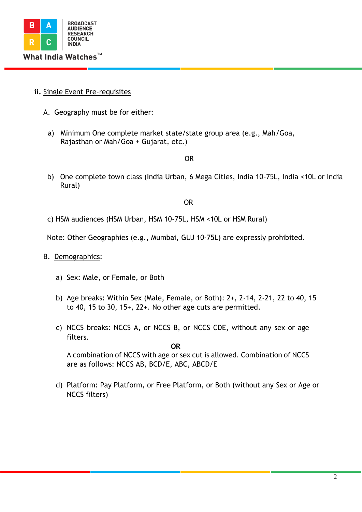

#### **ii.** Single Event Pre-requisites

- A. Geography must be for either:
- a) Minimum One complete market state/state group area (e.g., Mah/Goa, Rajasthan or Mah/Goa + Gujarat, etc.)

OR

b) One complete town class (India Urban, 6 Mega Cities, India 10-75L, India <10L or India Rural)

OR

c) HSM audiences (HSM Urban, HSM 10-75L, HSM <10L or HSM Rural)

Note: Other Geographies (e.g., Mumbai, GUJ 10-75L) are expressly prohibited.

#### B. Demographics:

- a) Sex: Male, or Female, or Both
- b) Age breaks: Within Sex (Male, Female, or Both): 2+, 2-14, 2-21, 22 to 40, 15 to 40, 15 to 30, 15+, 22+. No other age cuts are permitted.
- c) NCCS breaks: NCCS A, or NCCS B, or NCCS CDE, without any sex or age filters.

**OR** A combination of NCCS with age or sex cut is allowed. Combination of NCCS are as follows: NCCS AB, BCD/E, ABC, ABCD/E

d) Platform: Pay Platform, or Free Platform, or Both (without any Sex or Age or NCCS filters)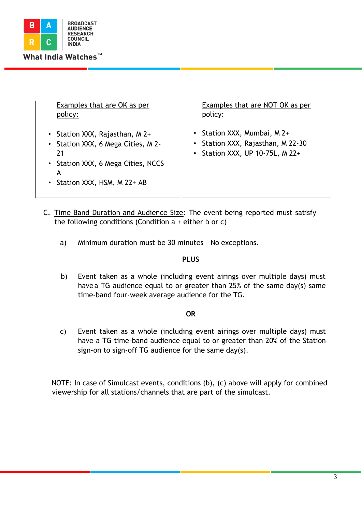

| Examples that are OK as per                                                                                                                           | Examples that are NOT OK as per                                                                     |
|-------------------------------------------------------------------------------------------------------------------------------------------------------|-----------------------------------------------------------------------------------------------------|
| policy:                                                                                                                                               | policy:                                                                                             |
| • Station XXX, Rajasthan, M 2+<br>• Station XXX, 6 Mega Cities, M 2-<br>21<br>• Station XXX, 6 Mega Cities, NCCS<br>А<br>• Station XXX, HSM, M 22+ AB | • Station XXX, Mumbai, M 2+<br>• Station XXX, Rajasthan, M 22-30<br>• Station XXX, UP 10-75L, M 22+ |

- C. Time Band Duration and Audience Size: The event being reported must satisfy the following conditions (Condition  $a +$  either b or c)
	- a) Minimum duration must be 30 minutes No exceptions.

### **PLUS**

b) Event taken as a whole (including event airings over multiple days) must have a TG audience equal to or greater than 25% of the same day(s) same time-band four-week average audience for the TG.

#### **OR**

c) Event taken as a whole (including event airings over multiple days) must have a TG time-band audience equal to or greater than 20% of the Station sign-on to sign-off TG audience for the same day(s).

NOTE: In case of Simulcast events, conditions (b), (c) above will apply for combined viewership for all stations/channels that are part of the simulcast.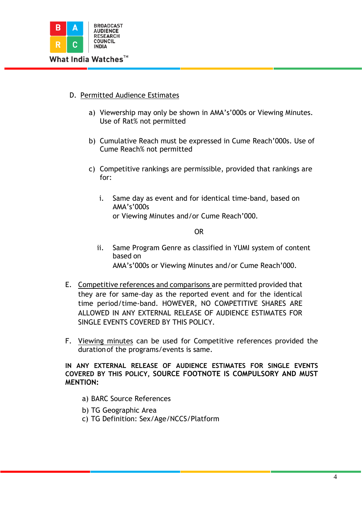

- D. Permitted Audience Estimates
	- a) Viewership may only be shown in AMA's'000s or Viewing Minutes. Use of Rat% not permitted
	- b) Cumulative Reach must be expressed in Cume Reach'000s. Use of Cume Reach% not permitted
	- c) Competitive rankings are permissible, provided that rankings are for:
		- i. Same day as event and for identical time-band, based on AMA's'000s

or Viewing Minutes and/or Cume Reach'000.

OR

- ii. Same Program Genre as classified in YUMI system of content based on AMA's'000s or Viewing Minutes and/or Cume Reach'000.
- E. Competitive references and comparisons are permitted provided that they are for same-day as the reported event and for the identical time period/time-band. HOWEVER, NO COMPETITIVE SHARES ARE ALLOWED IN ANY EXTERNAL RELEASE OF AUDIENCE ESTIMATES FOR SINGLE EVENTS COVERED BY THIS POLICY.
- F. Viewing minutes can be used for Competitive references provided the durationof the programs/events is same.

**IN ANY EXTERNAL RELEASE OF AUDIENCE ESTIMATES FOR SINGLE EVENTS COVERED BY THIS POLICY, SOURCE FOOTNOTE IS COMPULSORY AND MUST MENTION:**

- a) BARC Source References
- b) TG Geographic Area
- c) TG Definition: Sex/Age/NCCS/Platform